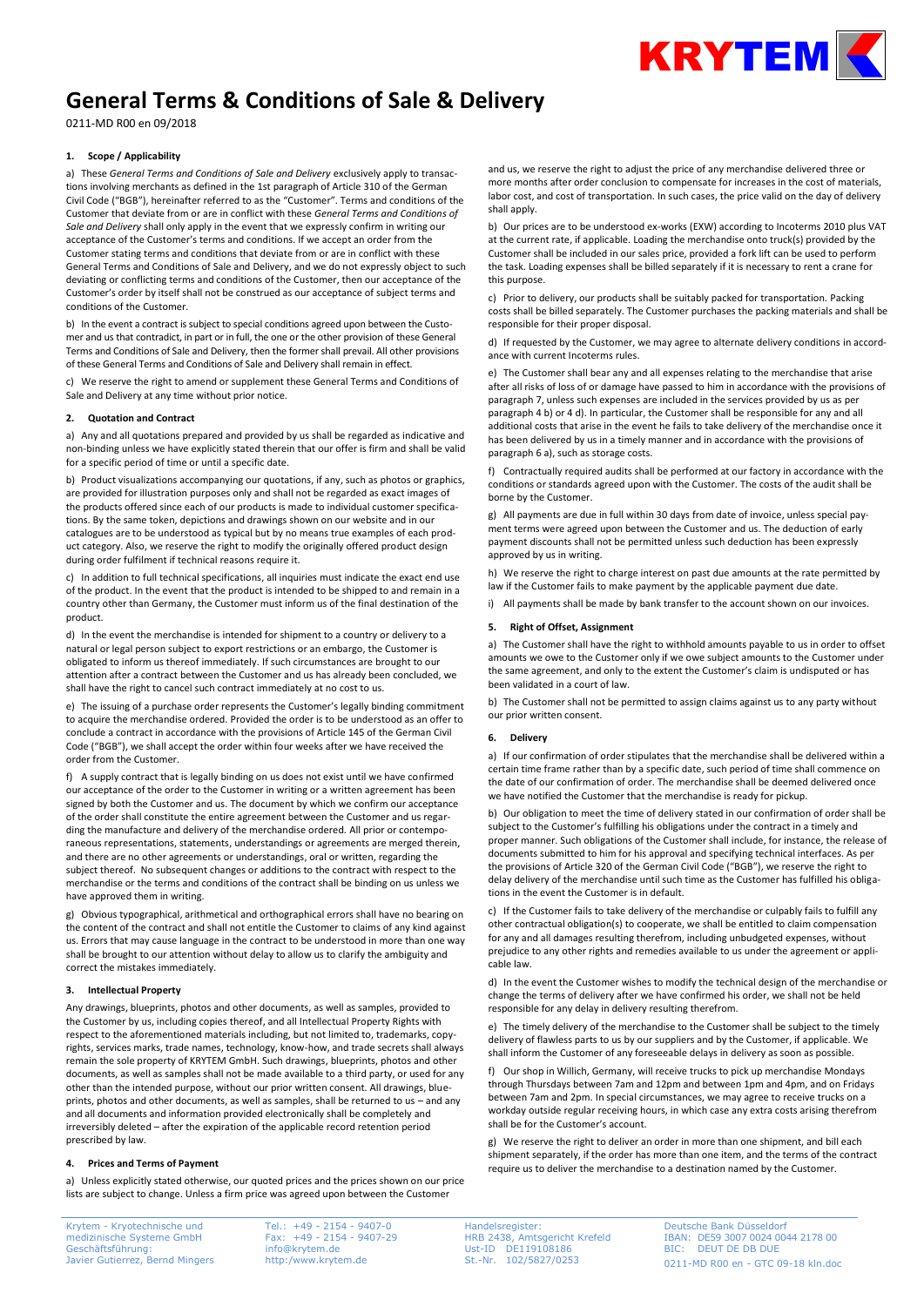

# **General Terms & Conditions of Sale & Delivery**

0211-MD R00 en 09/2018

## **1. Scope / Applicability**

a) These *General Terms and Conditions of Sale and Delivery* exclusively apply to transactions involving merchants as defined in the 1st paragraph of Article 310 of the German Civil Code ("BGB"), hereinafter referred to as the "Customer". Terms and conditions of the Customer that deviate from or are in conflict with these *General Terms and Conditions of Sale and Delivery* shall only apply in the event that we expressly confirm in writing our acceptance of the Customer's terms and conditions. If we accept an order from the Customer stating terms and conditions that deviate from or are in conflict with these General Terms and Conditions of Sale and Delivery, and we do not expressly object to such deviating or conflicting terms and conditions of the Customer, then our acceptance of the Customer's order by itself shall not be construed as our acceptance of subject terms and conditions of the Customer.

b) In the event a contract is subject to special conditions agreed upon between the Customer and us that contradict, in part or in full, the one or the other provision of these General Terms and Conditions of Sale and Delivery, then the former shall prevail. All other provisions of these General Terms and Conditions of Sale and Delivery shall remain in effect.

c) We reserve the right to amend or supplement these General Terms and Conditions of Sale and Delivery at any time without prior notice.

## **2. Quotation and Contract**

a) Any and all quotations prepared and provided by us shall be regarded as indicative and non-binding unless we have explicitly stated therein that our offer is firm and shall be valid for a specific period of time or until a specific date.

b) Product visualizations accompanying our quotations, if any, such as photos or graphics, are provided for illustration purposes only and shall not be regarded as exact images of the products offered since each of our products is made to individual customer specifications. By the same token, depictions and drawings shown on our website and in our catalogues are to be understood as typical but by no means true examples of each product category. Also, we reserve the right to modify the originally offered product design during order fulfilment if technical reasons require it.

c) In addition to full technical specifications, all inquiries must indicate the exact end use of the product. In the event that the product is intended to be shipped to and remain in a country other than Germany, the Customer must inform us of the final destination of the product.

d) In the event the merchandise is intended for shipment to a country or delivery to a natural or legal person subject to export restrictions or an embargo, the Customer is obligated to inform us thereof immediately. If such circumstances are brought to our attention after a contract between the Customer and us has already been concluded, we shall have the right to cancel such contract immediately at no cost to us.

e) The issuing of a purchase order represents the Customer's legally binding commitment to acquire the merchandise ordered. Provided the order is to be understood as an offer to conclude a contract in accordance with the provisions of Article 145 of the German Civil Code ("BGB"), we shall accept the order within four weeks after we have received the order from the Customer.

f) A supply contract that is legally binding on us does not exist until we have confirmed our acceptance of the order to the Customer in writing or a written agreement has been signed by both the Customer and us. The document by which we confirm our acceptance of the order shall constitute the entire agreement between the Customer and us regarding the manufacture and delivery of the merchandise ordered. All prior or contemporaneous representations, statements, understandings or agreements are merged therein, and there are no other agreements or understandings, oral or written, regarding the subject thereof. No subsequent changes or additions to the contract with respect to the merchandise or the terms and conditions of the contract shall be binding on us unless we have approved them in writing.

g) Obvious typographical, arithmetical and orthographical errors shall have no bearing on the content of the contract and shall not entitle the Customer to claims of any kind against us. Errors that may cause language in the contract to be understood in more than one way shall be brought to our attention without delay to allow us to clarify the ambiguity and correct the mistakes immediately.

## **3. Intellectual Property**

Any drawings, blueprints, photos and other documents, as well as samples, provided to the Customer by us, including copies thereof, and all Intellectual Property Rights with respect to the aforementioned materials including, but not limited to, trademarks, copyrights, services marks, trade names, technology, know-how, and trade secrets shall always remain the sole property of KRYTEM GmbH. Such drawings, blueprints, photos and other documents, as well as samples shall not be made available to a third party, or used for any other than the intended purpose, without our prior written consent. All drawings, blueprints, photos and other documents, as well as samples, shall be returned to us – and any and all documents and information provided electronically shall be completely and irreversibly deleted – after the expiration of the applicable record retention period prescribed by law.

# **4. Prices and Terms of Payment**

a) Unless explicitly stated otherwise, our quoted prices and the prices shown on our price lists are subject to change. Unless a firm price was agreed upon between the Customer

Krytem - Kryotechnische und medizinische Systeme GmbH Geschäftsführung: Javier Gutierrez, Bernd Mingers

Tel.: +49 - 2154 - 9407-0 Fax: +49 - 2154 - 9407-29 info@krytem.de http:/www.krytem.de

and us, we reserve the right to adjust the price of any merchandise delivered three or more months after order conclusion to compensate for increases in the cost of materials, labor cost, and cost of transportation. In such cases, the price valid on the day of delivery shall apply.

b) Our prices are to be understood ex-works (EXW) according to Incoterms 2010 plus VAT at the current rate, if applicable. Loading the merchandise onto truck(s) provided by the Customer shall be included in our sales price, provided a fork lift can be used to perform the task. Loading expenses shall be billed separately if it is necessary to rent a crane for this purpose.

c) Prior to delivery, our products shall be suitably packed for transportation. Packing costs shall be billed separately. The Customer purchases the packing materials and shall be responsible for their proper disposal.

d) If requested by the Customer, we may agree to alternate delivery conditions in accordance with current Incoterms rules.

e) The Customer shall bear any and all expenses relating to the merchandise that arise after all risks of loss of or damage have passed to him in accordance with the provisions of paragraph 7, unless such expenses are included in the services provided by us as per paragraph 4 b) or 4 d). In particular, the Customer shall be responsible for any and all additional costs that arise in the event he fails to take delivery of the merchandise once it has been delivered by us in a timely manner and in accordance with the provisions of paragraph 6 a), such as storage costs.

f) Contractually required audits shall be performed at our factory in accordance with the conditions or standards agreed upon with the Customer. The costs of the audit shall be borne by the Customer.

g) All payments are due in full within 30 days from date of invoice, unless special payment terms were agreed upon between the Customer and us. The deduction of early payment discounts shall not be permitted unless such deduction has been expressly approved by us in writing.

h) We reserve the right to charge interest on past due amounts at the rate permitted by law if the Customer fails to make payment by the applicable payment due date.

i) All payments shall be made by bank transfer to the account shown on our invoices.

## **5. Right of Offset, Assignment**

a) The Customer shall have the right to withhold amounts payable to us in order to offset amounts we owe to the Customer only if we owe subject amounts to the Customer under the same agreement, and only to the extent the Customer's claim is undisputed or has been validated in a court of law.

b) The Customer shall not be permitted to assign claims against us to any party without our prior written consent.

## **6. Delivery**

a) If our confirmation of order stipulates that the merchandise shall be delivered within a certain time frame rather than by a specific date, such period of time shall commence on the date of our confirmation of order. The merchandise shall be deemed delivered once we have notified the Customer that the merchandise is ready for pickup.

b) Our obligation to meet the time of delivery stated in our confirmation of order shall be subject to the Customer's fulfilling his obligations under the contract in a timely and proper manner. Such obligations of the Customer shall include, for instance, the release of documents submitted to him for his approval and specifying technical interfaces. As per the provisions of Article 320 of the German Civil Code ("BGB"), we reserve the right to delay delivery of the merchandise until such time as the Customer has fulfilled his obligations in the event the Customer is in default.

c) If the Customer fails to take delivery of the merchandise or culpably fails to fulfill any other contractual obligation(s) to cooperate, we shall be entitled to claim compensation for any and all damages resulting therefrom, including unbudgeted expenses, without prejudice to any other rights and remedies available to us under the agreement or applicable law.

d) In the event the Customer wishes to modify the technical design of the merchandise or change the terms of delivery after we have confirmed his order, we shall not be held responsible for any delay in delivery resulting therefrom.

e) The timely delivery of the merchandise to the Customer shall be subject to the timely delivery of flawless parts to us by our suppliers and by the Customer, if applicable. We shall inform the Customer of any foreseeable delays in delivery as soon as possible.

f) Our shop in Willich, Germany, will receive trucks to pick up merchandise Mondays through Thursdays between 7am and 12pm and between 1pm and 4pm, and on Fridays between 7am and 2pm. In special circumstances, we may agree to receive trucks on a workday outside regular receiving hours, in which case any extra costs arising therefrom shall be for the Customer's account.

g) We reserve the right to deliver an order in more than one shipment, and bill each shipment separately, if the order has more than one item, and the terms of the contract require us to deliver the merchandise to a destination named by the Customer.

Handelsregister: HRB 2438, Amtsgericht Krefeld Ust-ID DE119108186 St.-Nr. 102/5827/0253

Deutsche Bank Düsseldorf IBAN: DE59 3007 0024 0044 2178 00 BIC: DEUT DE DB DUE 0211-MD R00 en - GTC 09-18 kln.doc